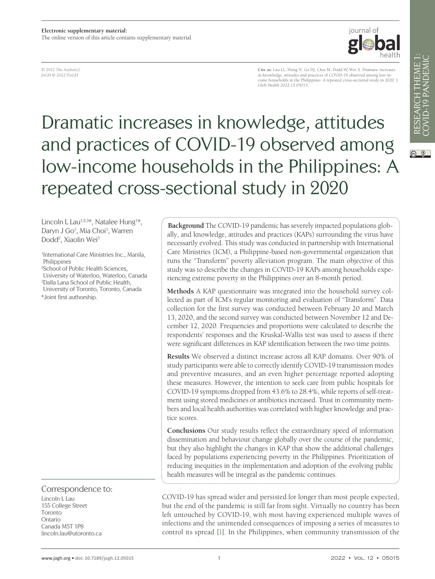iournal of

© 2022 The Author(s) JoGH © 2022 ISoGH

**Cite as:** Lau LL, Hung N, Go DJ, Choi M, Dodd W, Wei X. Dramatic increases in knowledge, attitudes and practices of COVID-19 observed among low-in-come households in the Philippines: A repeated cross-sectional study in 2020. J Glob Health 2022:12:05015

# Dramatic increases in knowledge, attitudes and practices of COVID-19 observed among low-income households in the Philippines: A repeated cross-sectional study in 2020

Lincoln L Lau<sup>1,2,3\*</sup>, Natalee Hung<sup>1\*</sup>, Daryn J Go<sup>1</sup>, Mia Choi<sup>1</sup>, Warren Dodd<sup>2</sup>, Xiaolin Wei<sup>3</sup>

1 International Care Ministries Inc., Manila, Philippines

<sup>2</sup>School of Public Health Sciences, University of Waterloo, Waterloo, Canada <sup>3</sup>Dalla Lana School of Public Health, University of Toronto, Toronto, Canada \*Joint first authorship.

Correspondence to:

Lincoln L Lau 155 College Street Toronto Ontario Canada M5T 1P8 lincoln.lau@utoronto.ca

**Background** The COVID-19 pandemic has severely impacted populations globally, and knowledge, attitudes and practices (KAPs) surrounding the virus have necessarily evolved. This study was conducted in partnership with International Care Ministries (ICM), a Philippine-based non-governmental organization that runs the "Transform" poverty alleviation program. The main objective of this study was to describe the changes in COVID-19 KAPs among households experiencing extreme poverty in the Philippines over an 8-month period.

**Methods** A KAP questionnaire was integrated into the household survey collected as part of ICM's regular monitoring and evaluation of "Transform". Data collection for the first survey was conducted between February 20 and March 13, 2020, and the second survey was conducted between November 12 and December 12, 2020. Frequencies and proportions were calculated to describe the respondents' responses and the Kruskal-Wallis test was used to assess if there were significant differences in KAP identification between the two time points.

**Results** We observed a distinct increase across all KAP domains. Over 90% of study participants were able to correctly identify COVID-19 transmission modes and preventive measures, and an even higher percentage reported adopting these measures. However, the intention to seek care from public hospitals for COVID-19 symptoms dropped from 43.6% to 28.4%, while reports of self-treatment using stored medicines or antibiotics increased. Trust in community members and local health authorities was correlated with higher knowledge and practice scores.

**Conclusions** Our study results reflect the extraordinary speed of information dissemination and behaviour change globally over the course of the pandemic, but they also highlight the changes in KAP that show the additional challenges faced by populations experiencing poverty in the Philippines. Prioritization of reducing inequities in the implementation and adoption of the evolving public health measures will be integral as the pandemic continues.

COVID-19 has spread wider and persisted for longer than most people expected, but the end of the pandemic is still far from sight. Virtually no country has been left untouched by COVID-19, with most having experienced multiple waves of infections and the unintended consequences of imposing a series of measures to control its spread [\[1](#page-11-0)]. In the Philippines, when community transmission of the

 $\circledcirc$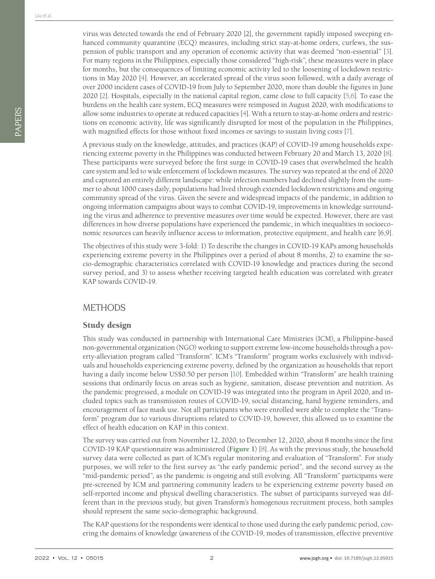virus was detected towards the end of February 2020 [2], the government rapidly imposed sweeping enhanced community quarantine (ECQ) measures, including strict stay-at-home orders, curfews, the suspension of public transport and any operation of economic activity that was deemed "non-essential" [\[3](#page-11-1)]. For many regions in the Philippines, especially those considered "high-risk", these measures were in place for months, but the consequences of limiting economic activity led to the loosening of lockdown restrictions in May 2020 [\[4](#page-11-2)]. However, an accelerated spread of the virus soon followed, with a daily average of over 2000 incident cases of COVID-19 from July to September 2020, more than double the figures in June 2020 [[2](#page-11-3)]. Hospitals, especially in the national capital region, came close to full capacity [\[5](#page-11-4)[,6](#page-11-5)]. To ease the burdens on the health care system, ECQ measures were reimposed in August 2020, with modifications to allow some industries to operate at reduced capacities [\[4](#page-11-2)]. With a return to stay-at-home orders and restrictions on economic activity, life was significantly disrupted for most of the population in the Philippines, with magnified effects for those without fixed incomes or savings to sustain living costs [\[7](#page-11-6)].

A previous study on the knowledge, attitudes, and practices (KAP) of COVID-19 among households experiencing extreme poverty in the Philippines was conducted between February 20 and March 13, 2020 [\[8](#page-11-7)]. These participants were surveyed before the first surge in COVID-19 cases that overwhelmed the health care system and led to wide enforcement of lockdown measures. The survey was repeated at the end of 2020 and captured an entirely different landscape: while infection numbers had declined slightly from the summer to about 1000 cases daily, populations had lived through extended lockdown restrictions and ongoing community spread of the virus. Given the severe and widespread impacts of the pandemic, in addition to ongoing information campaigns about ways to combat COVID-19, improvements in knowledge surrounding the virus and adherence to preventive measures over time would be expected. However, there are vast differences in how diverse populations have experienced the pandemic, in which inequalities in socioeconomic resources can heavily influence access to information, protective equipment, and health care [6,9].

The objectives of this study were 3-fold: 1) To describe the changes in COVID-19 KAPs among households experiencing extreme poverty in the Philippines over a period of about 8 months, 2) to examine the socio-demographic characteristics correlated with COVID-19 knowledge and practices during the second survey period, and 3) to assess whether receiving targeted health education was correlated with greater KAP towards COVID-19.

## METHODS

### Study design

This study was conducted in partnership with International Care Ministries (ICM), a Philippine-based non-governmental organization (NGO) working to support extreme low-income households through a poverty-alleviation program called "Transform". ICM's "Transform" program works exclusively with individuals and households experiencing extreme poverty, defined by the organization as households that report having a daily income below US\$0.50 per person [\[10\]](#page-11-8). Embedded within "Transform" are health training sessions that ordinarily focus on areas such as hygiene, sanitation, disease prevention and nutrition. As the pandemic progressed, a module on COVID-19 was integrated into the program in April 2020, and included topics such as transmission routes of COVID-19, social distancing, hand hygiene reminders, and encouragement of face mask use. Not all participants who were enrolled were able to complete the "Transform" program due to various disruptions related to COVID-19, however, this allowed us to examine the effect of health education on KAP in this context.

The survey was carried out from November 12, 2020, to December 12, 2020, about 8 months since the first COVID-19 KAP questionnaire was administered (**[Figure](#page-2-0) 1**) [\[8](#page-11-7)]. As with the previous study, the household survey data were collected as part of ICM's regular monitoring and evaluation of "Transform". For study purposes, we will refer to the first survey as "the early pandemic period", and the second survey as the "mid-pandemic period", as the pandemic is ongoing and still evolving. All "Transform" participants were pre-screened by ICM and partnering community leaders to be experiencing extreme poverty based on self-reported income and physical dwelling characteristics. The subset of participants surveyed was different than in the previous study, but given Transform's homogenous recruitment process, both samples should represent the same socio-demographic background.

The KAP questions for the respondents were identical to those used during the early pandemic period, covering the domains of knowledge (awareness of the COVID-19, modes of transmission, effective preventive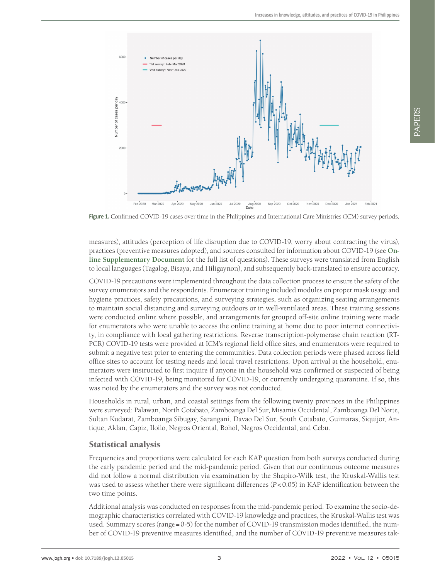PAPERS

<span id="page-2-0"></span>

**Figure 1.** Confirmed COVID-19 cases over time in the Philippines and International Care Ministries (ICM) survey periods.

measures), attitudes (perception of life disruption due to COVID-19, worry about contracting the virus), practices (preventive measures adopted), and sources consulted for information about COVID-19 (see **[On](#page-11-9)line [Supplementary](#page-11-9) Document** for the full list of questions). These surveys were translated from English to local languages (Tagalog, Bisaya, and Hiligaynon), and subsequently back-translated to ensure accuracy.

COVID-19 precautions were implemented throughout the data collection process to ensure the safety of the survey enumerators and the respondents. Enumerator training included modules on proper mask usage and hygiene practices, safety precautions, and surveying strategies, such as organizing seating arrangements to maintain social distancing and surveying outdoors or in well-ventilated areas. These training sessions were conducted online where possible, and arrangements for grouped off-site online training were made for enumerators who were unable to access the online training at home due to poor internet connectivity, in compliance with local gathering restrictions. Reverse transcription-polymerase chain reaction (RT-PCR) COVID-19 tests were provided at ICM's regional field office sites, and enumerators were required to submit a negative test prior to entering the communities. Data collection periods were phased across field office sites to account for testing needs and local travel restrictions. Upon arrival at the household, enumerators were instructed to first inquire if anyone in the household was confirmed or suspected of being infected with COVID-19, being monitored for COVID-19, or currently undergoing quarantine. If so, this was noted by the enumerators and the survey was not conducted.

Households in rural, urban, and coastal settings from the following twenty provinces in the Philippines were surveyed: Palawan, North Cotabato, Zamboanga Del Sur, Misamis Occidental, Zamboanga Del Norte, Sultan Kudarat, Zamboanga Sibugay, Sarangani, Davao Del Sur, South Cotabato, Guimaras, Siquijor, Antique, Aklan, Capiz, Iloilo, Negros Oriental, Bohol, Negros Occidental, and Cebu.

#### Statistical analysis

Frequencies and proportions were calculated for each KAP question from both surveys conducted during the early pandemic period and the mid-pandemic period. Given that our continuous outcome measures did not follow a normal distribution via examination by the Shapiro-Wilk test, the Kruskal-Wallis test was used to assess whether there were significant differences (*P*<0.05) in KAP identification between the two time points.

Additional analysis was conducted on responses from the mid-pandemic period. To examine the socio-demographic characteristics correlated with COVID-19 knowledge and practices, the Kruskal-Wallis test was used. Summary scores (range=0-5) for the number of COVID-19 transmission modes identified, the number of COVID-19 preventive measures identified, and the number of COVID-19 preventive measures tak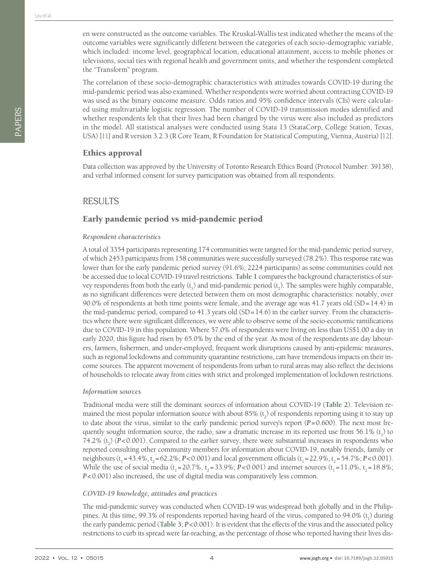The correlation of these socio-demographic characteristics with attitudes towards COVID-19 during the mid-pandemic period was also examined. Whether respondents were worried about contracting COVID-19 was used as the binary outcome measure. Odds ratios and 95% confidence intervals (CIs) were calculated using multivariable logistic regression. The number of COVID-19 transmission modes identified and whether respondents felt that their lives had been changed by the virus were also included as predictors in the model. All statistical analyses were conducted using Stata 13 (StataCorp, College Station, Texas, USA) [\[11](#page-11-10)] and R version 3.2.3 (R Core Team, R Foundation for Statistical Computing, Vienna, Austria) [\[12](#page-11-11)].

## Ethics approval

Data collection was approved by the University of Toronto Research Ethics Board (Protocol Number: 39138), and verbal informed consent for survey participation was obtained from all respondents.

## RESULTS

## Early pandemic period vs mid-pandemic period

#### *Respondent characteristics*

A total of 3354 participants representing 174 communities were targeted for the mid-pandemic period survey, of which 2453 participants from 158 communities were successfully surveyed (78.2%). This response rate was lower than for the early pandemic period survey (91.6%; 2224 participants) as some communities could not be accessed due to local COVID-19 travel restrictions. **[Table](#page-4-0) 1** compares the background characteristics of survey respondents from both the early  $(t_1)$  and mid-pandemic period  $(t_2)$ . The samples were highly comparable, as no significant differences were detected between them on most demographic characteristics: notably, over 90.0% of respondents at both time points were female, and the average age was 41.7 years old (SD=14.4) in the mid-pandemic period, compared to  $41.3$  years old  $(SD=14.6)$  in the earlier survey. From the characteristics where there were significant differences, we were able to observe some of the socio-economic ramifications due to COVID-19 in this population. Where 57.0% of respondents were living on less than US\$1.00 a day in early 2020, this figure had risen by 65.0% by the end of the year. As most of the respondents are day labourers, farmers, fishermen, and under-employed, frequent work disruptions caused by anti-epidemic measures, such as regional lockdowns and community quarantine restrictions, can have tremendous impacts on their income sources. The apparent movement of respondents from urban to rural areas may also reflect the decisions of households to relocate away from cities with strict and prolonged implementation of lockdown restrictions.

#### *Information sources*

Traditional media were still the dominant sources of information about COVID-19 (**[Table](#page-4-1) 2**). Television remained the most popular information source with about 85%  $(\mathrm{t_{2}})$  of respondents reporting using it to stay up to date about the virus, similar to the early pandemic period survey's report (*P*=0.600). The next most frequently sought information source, the radio, saw a dramatic increase in its reported use from  $56.1\%$  (t<sub>1</sub>) to 74.2%  $(t_2)$  ( $P<0.001$ ). Compared to the earlier survey, there were substantial increases in respondents who reported consulting other community members for information about COVID-19, notably friends, family or neighbours ( $t_1 = 43.4\%$ ,  $t_2 = 62.2\%$ ;  $P < 0.001$ ) and local government officials ( $t_1 = 22.9\%$ ,  $t_2 = 54.7\%$ ;  $P < 0.001$ ). While the use of social media (t<sub>1</sub> = 20.7%, t<sub>2</sub> = 33.9%; *P*<0.001) and internet sources (t<sub>1</sub> = 11.0%, t<sub>2</sub> = 18.8%; *P*<0.001) also increased, the use of digital media was comparatively less common.

#### *COVID-19 knowledge, attitudes and practices*

The mid-pandemic survey was conducted when COVID-19 was widespread both globally and in the Philippines. At this time, 99.3% of respondents reported having heard of the virus, compared to 94.0%  $(t_1)$  during the early pandemic period (**[Table](#page-5-0) 3**; *P*<0.001). It is evident that the effects of the virus and the associated policy restrictions to curb its spread were far-reaching, as the percentage of those who reported having their lives dis-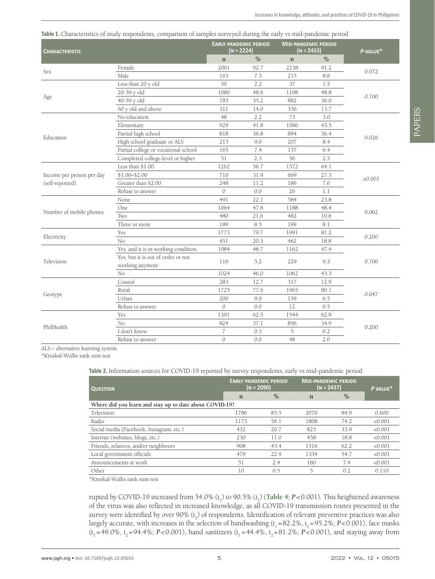<span id="page-4-0"></span>

| Table 1. Characteristics of study respondents, comparison of samples surveyed during the early vs mid-pandemic period |  |  |  |  |  |
|-----------------------------------------------------------------------------------------------------------------------|--|--|--|--|--|
|                                                                                                                       |  |  |  |  |  |

| <b>CHARACTERISTIC</b>     |                                                       | (N = 2224)     | <b>EARLY PANDEMIC PERIOD</b> | <b>MID-PANDEMIC PERIOD</b><br>(N = 2453) |      | P-VALUE* |  |  |
|---------------------------|-------------------------------------------------------|----------------|------------------------------|------------------------------------------|------|----------|--|--|
|                           |                                                       | $\mathbf n$    | $\%$                         | $\mathbf n$                              | $\%$ |          |  |  |
|                           | Female                                                | 2061           | 92.7                         | 2238                                     | 91.2 |          |  |  |
| Sex                       | Male                                                  | 163            | 7.3                          | 215                                      | 8.8  | 0.072    |  |  |
|                           | Less than 20 y old                                    | 50             | 2.2                          | 37                                       | 1.5  |          |  |  |
|                           | 20-39 y old                                           | 1080           | 48.6                         | 1198                                     | 48.8 |          |  |  |
| Age                       | 40-59 y old                                           | 783            | 35.2                         | 882                                      | 36.0 | 0.700    |  |  |
|                           | 60 y old and above                                    | 311            | 14.0                         | 336                                      | 13.7 |          |  |  |
|                           | No education                                          | 48             | 2.2                          | 73                                       | 3.0  |          |  |  |
|                           | Elementary                                            | 929            | 41.8                         | 1066                                     | 43.5 |          |  |  |
|                           | Partial high school                                   | 818            | 36.8                         | 894                                      | 36.4 | 0.026    |  |  |
| Education                 | High school graduate or ALS                           | 213            | 9.6                          | 207                                      | 8.4  |          |  |  |
|                           | Partial college or vocational school                  | 165            | 7.4                          | 157                                      | 6.4  |          |  |  |
|                           | Completed college-level or higher                     | 51             | 2.3                          | 56                                       | 2.3  |          |  |  |
|                           | Less than \$1.00                                      | 1262           | 56.7                         | 1572                                     | 64.1 |          |  |  |
| Income per person per day | \$1.00-\$2.00                                         | 710            | 31.9                         | 669                                      | 27.3 |          |  |  |
| (self-reported)           | Greater than \$2.00                                   | 248            | 11.2                         | 186                                      | 7.6  | < 0.001  |  |  |
|                           | Refuse to answer                                      | $\overline{O}$ | 0.0                          | 26                                       | 1.1  |          |  |  |
|                           | None                                                  | 491            | 22.1                         | 584                                      | 23.8 |          |  |  |
|                           | One                                                   | 1064           | 47.8                         | 1188                                     | 48.4 | 0.062    |  |  |
| Number of mobile phones   | Two                                                   | 480            | 21.6                         | 482                                      | 19.6 |          |  |  |
|                           | Three or more                                         | 189            | 8.5                          | 199                                      | 8.1  |          |  |  |
|                           | Yes                                                   | 1773           | 79.7                         | 1991                                     | 81.2 | 0.200    |  |  |
| Electricity               | No                                                    | 451            | 20.3                         | 462                                      | 18.8 |          |  |  |
|                           | Yes, and it is in working condition.                  | 1084           | 48.7                         | 1162                                     | 47.4 |          |  |  |
| Television                | Yes, but it is out of order or not<br>working anymore | 116            | 5.2                          | 229                                      | 9.3  | 0.700    |  |  |
|                           | N <sub>o</sub>                                        | 1024           | 46.0                         | 1062                                     | 43.3 |          |  |  |
|                           | Coastal                                               | 283            | 12.7                         | 317                                      | 12.9 |          |  |  |
|                           | Rural                                                 | 1725           | 77.6                         | 1965                                     | 80.1 |          |  |  |
| Geotype                   | Urban                                                 | 200            | 9.0                          | 159                                      | 6.5  | 0.047    |  |  |
|                           | Refuse to answer                                      | $\overline{O}$ | 0.0                          | 12                                       | 0.5  |          |  |  |
|                           | Yes                                                   | 1391           | 62.5                         | 1544                                     | 62.9 |          |  |  |
|                           | No                                                    | 824            | 37.1                         | 856                                      | 34.9 |          |  |  |
| PhilHealth                | I don't know                                          | $\overline{7}$ | 0.3                          | 5                                        | 0.2  | 0.200    |  |  |
|                           | Refuse to answer                                      | $\mathcal{O}$  | 0.0                          | 48                                       | 2.0  |          |  |  |

ALS – alternative learning system

\*Kruskal-Wallis rank sum test

#### <span id="page-4-1"></span>**Table 2.** Information sources for COVID-19 reported by survey respondents, early vs mid-pandemic period

| <b>QUESTION</b>                                         |             | <b>EARLY PANDEMIC PERIOD</b><br>(N = 2090) | <b>MID-PANDEMIC PERIOD</b><br>$(N = 2437)$ | P VALUE* |         |  |  |  |  |  |
|---------------------------------------------------------|-------------|--------------------------------------------|--------------------------------------------|----------|---------|--|--|--|--|--|
|                                                         | $\mathbf n$ | $\%$                                       | $\mathbf n$                                | $\%$     |         |  |  |  |  |  |
| Where did you learn and stay up to date about COVID-19? |             |                                            |                                            |          |         |  |  |  |  |  |
| Television                                              | 1786        | 85.5                                       | 2070                                       | 84.9     | 0.600   |  |  |  |  |  |
| Radio                                                   | 1173        | 56.1                                       | 1808                                       | 74.2     | < 0.001 |  |  |  |  |  |
| Social media (Facebook, Instagram, etc.)                | 432         | 20.7                                       | 825                                        | 33.9     | < 0.001 |  |  |  |  |  |
| Internet (websites, blogs, etc.)                        | 230         | 11.0                                       | 458                                        | 18.8     | < 0.001 |  |  |  |  |  |
| Friends, relatives, and/or neighbours                   | 908         | 43.4                                       | 1516                                       | 62.2     | < 0.001 |  |  |  |  |  |
| Local government officials                              | 479         | 22.9                                       | 1334                                       | 54.7     | < 0.001 |  |  |  |  |  |
| Announcements at work                                   | 51          | 2.4                                        | 180                                        | 7.4      | < 0.001 |  |  |  |  |  |
| Other                                                   | 10          | 0.5                                        | $\overline{5}$                             | 0.2      | 0.110   |  |  |  |  |  |

\*Kruskal-Wallis rank sum test

rupted by COVID-19 increased from 54.0% (t<sub>1</sub>) to 90.5% (t<sub>2</sub>) ([Table](#page-6-0) 4; *P*<0.001). This heightened awareness of the virus was also reflected in increased knowledge, as all COVID-19 transmission routes presented in the survey were identified by over 90%  $(t_2)$  of respondents. Identification of relevant preventive practices was also largely accurate, with increases in the selection of handwashing  $(t_1 = 82.2\%, t_2 = 95.2\%; P < 0.001)$ , face masks (t<sub>1</sub> = 49.0%, t<sub>2</sub> = 94.4%; *P*<0.001), hand sanitizers (t<sub>1</sub> = 44.4%, t<sub>2</sub> = 81.2%; *P*<0.001), and staying away from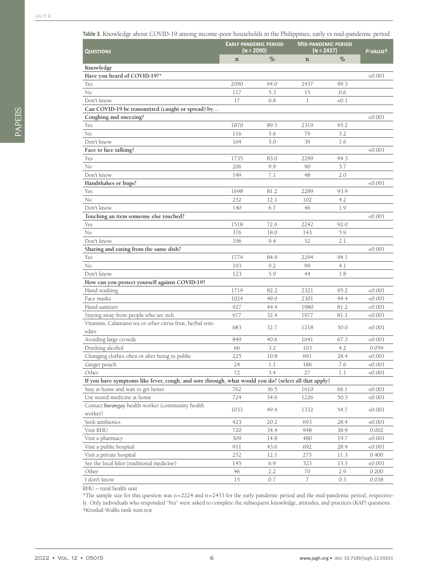<span id="page-5-0"></span>

| $\circ$<br>O                                                                                         |             |                                            |                                          |          |         |
|------------------------------------------------------------------------------------------------------|-------------|--------------------------------------------|------------------------------------------|----------|---------|
| <b>QUESTIONS</b>                                                                                     |             | <b>EARLY PANDEMIC PERIOD</b><br>(N = 2090) | <b>MID-PANDEMIC PERIOD</b><br>(N = 2437) | P-VALUET |         |
|                                                                                                      | $\mathbf n$ | $\%$                                       | $\mathbf n$                              | $\%$     |         |
| Knowledge                                                                                            |             |                                            |                                          |          |         |
| Have you heard of COVID-19?*                                                                         |             |                                            |                                          |          | < 0.001 |
| Yes                                                                                                  | 2090        | 94.0                                       | 2437                                     | 99.3     |         |
| No                                                                                                   | 117         | 5.3                                        | 15                                       | 0.6      |         |
| Don't know                                                                                           | 17          | 0.8                                        | 1                                        | < 0.1    |         |
| Can COVID-19 be transmitted (caught or spread) by                                                    |             |                                            |                                          |          |         |
| Coughing and sneezing?                                                                               |             |                                            |                                          |          | < 0.001 |
| Yes                                                                                                  | 1870        | 89.5                                       | 2319                                     | 95.2     |         |
| No                                                                                                   | 116         | 5.6                                        | 79                                       | 3.2      |         |
| Don't know                                                                                           | 104         | 5.0                                        | 39                                       | 1.6      |         |
| Face to face talking?                                                                                |             |                                            |                                          |          | < 0.001 |
| Yes                                                                                                  | 1735        | 83.0                                       | 2299                                     | 94.3     |         |
| No                                                                                                   | 206         | 9.9                                        | 90                                       | 3.7      |         |
| Don't know                                                                                           | 149         | 7.1                                        | 48                                       | 2.0      |         |
| Handshakes or hugs?                                                                                  |             |                                            |                                          |          | < 0.001 |
| Yes                                                                                                  | 1698        | 81.2                                       | 2289                                     | 93.9     |         |
| No                                                                                                   | 252         | 12.1                                       | 102                                      | 4.2      |         |
| Don't know                                                                                           | 140         | 6.7                                        | 46                                       | 1.9      |         |
| Touching an item someone else touched?                                                               |             |                                            |                                          |          | < 0.001 |
| Yes                                                                                                  | 1518        | 72.6                                       | 2242                                     | 92.0     |         |
| No                                                                                                   | 376         | 18.0                                       | 143                                      | 5.9      |         |
| Don't know                                                                                           | 196         | 9.4                                        | 52                                       | 2.1      |         |
| Sharing and eating from the same dish?                                                               |             |                                            |                                          |          | < 0.001 |
| Yes                                                                                                  | 1774        | 84.9                                       | 2294                                     | 94.1     |         |
| No                                                                                                   | 193         | 9.2                                        | 99                                       | 4.1      |         |
| Don't know                                                                                           | 123         | 5.9                                        | 44                                       | 1.8      |         |
| How can you protect yourself against COVID-19?                                                       |             |                                            |                                          |          |         |
| Hand washing                                                                                         | 1719        | 82.2                                       | 2321                                     | 95.2     | < 0.001 |
| Face masks                                                                                           | 1024        | 49.0                                       | 2301                                     | 94.4     | < 0.001 |
| Hand sanitizer                                                                                       | 927         | 44.4                                       | 1980                                     | 81.2     | < 0.001 |
| Staying away from people who are sick                                                                | 677         | 32.4                                       | 1977                                     | 81.1     | < 0.001 |
| Vitamins, Calamansi tea or other citrus fruit, herbal rem-                                           |             |                                            |                                          |          |         |
| edies                                                                                                | 683         | 32.7                                       | 1218                                     | 50.0     | < 0.001 |
| Avoiding large crowds                                                                                | 849         | 40.6                                       | 1641                                     | 67.3     | < 0.001 |
| Drinking alcohol                                                                                     | 66          | 3.2                                        | 103                                      | 4.2      | 0.059   |
| Changing clothes often or after being in public                                                      | 225         | 10.8                                       | 691                                      | 28.4     | <0.001  |
| Ginger pouch                                                                                         | 24          | $1.1\,$                                    | 186                                      | 7.6      | < 0.001 |
| Other                                                                                                | 72          | 3.4                                        | 27                                       | 1.1      | < 0.001 |
| If you have symptoms like fever, cough, and sore through, what would you do? (select all that apply) |             |                                            |                                          |          |         |
| Stay at home and wait to get better                                                                  | 762         | 36.5                                       | 1610                                     | 66.1     | < 0.001 |
| Use stored medicine at home                                                                          | 724         | 34.6                                       | 1226                                     | 50.3     | < 0.001 |
| Contact barangay health worker (community health<br>worker)                                          | 1033        | 49.4                                       | 1332                                     | 54.7     | < 0.001 |
| Seek antibiotics                                                                                     | 423         | 20.2                                       | 693                                      | 28.4     | 0.001   |
| Visit RHU                                                                                            | 720         | 34.4                                       | 948                                      | 38.9     | 0.002   |
| Visit a pharmacy                                                                                     | 309         | 14.8                                       | 480                                      | 19.7     | 0.001   |
| Visit a public hospital                                                                              | 911         | 43.6                                       | 692                                      | 28.4     | < 0.001 |
| Visit a private hospital                                                                             | 252         | 12.1                                       | 275                                      | 11.3     | 0.400   |
| See the local hilot (traditional medicine)                                                           | 145         | 6.9                                        | 323                                      | 13.3     | < 0.001 |
| Other                                                                                                | 46          | 2.2                                        | 70                                       | 2.9      | 0.200   |
| I don't know                                                                                         | 15          | $0.7\,$                                    | $\frac{7}{2}$                            | 0.3      | 0.038   |
|                                                                                                      |             |                                            |                                          |          |         |

RHU – rural health unit

\*The sample size for this question was n=2224 and n=2453 for the early pandemic period and the mid-pandemic period, respectively. Only individuals who responded "Yes" were asked to complete the subsequent knowledge, attitudes, and practices (KAP) questions. †Kruskal-Wallis rank sum test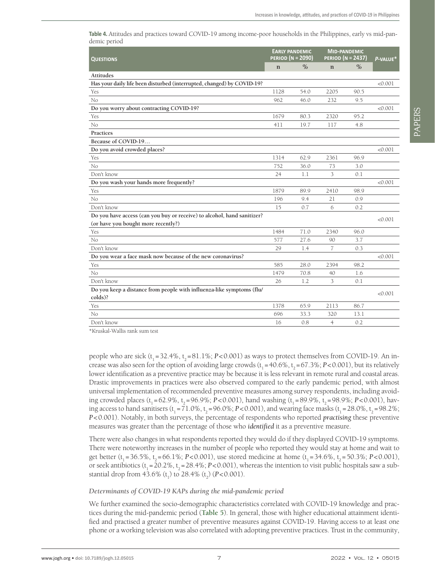<span id="page-6-0"></span>**Table 4.** Attitudes and practices toward COVID-19 among income-poor households in the Philippines, early vs mid-pandemic period

| <b>QUESTIONS</b>                                                        | <b>PERIOD (N = 2090)</b> | <b>EARLY PANDEMIC</b> | <b>MID-PANDEMIC</b><br><b>PERIOD (N = 2437)</b> | P-VALUE* |         |
|-------------------------------------------------------------------------|--------------------------|-----------------------|-------------------------------------------------|----------|---------|
|                                                                         | $\mathbf n$              | $\%$                  | $\mathbf n$                                     | $\%$     |         |
| <b>Attitudes</b>                                                        |                          |                       |                                                 |          |         |
| Has your daily life been disturbed (interrupted, changed) by COVID-19?  |                          |                       |                                                 |          | < 0.001 |
| Yes                                                                     | 1128                     | 54.0                  | 2205                                            | 90.5     |         |
| No                                                                      | 962                      | 46.0                  | 232                                             | 9.5      |         |
| Do you worry about contracting COVID-19?                                |                          |                       |                                                 |          | < 0.001 |
| Yes                                                                     | 1679                     | 80.3                  | 2320                                            | 95.2     |         |
| No                                                                      | 411                      | 19.7                  | 117                                             | 4.8      |         |
| Practices                                                               |                          |                       |                                                 |          |         |
| Because of COVID-19                                                     |                          |                       |                                                 |          |         |
| Do you avoid crowded places?                                            |                          |                       |                                                 |          | < 0.001 |
| Yes                                                                     | 1314                     | 62.9                  | 2361                                            | 96.9     |         |
| No                                                                      | 752                      | 36.0                  | 73                                              | 3.0      |         |
| Don't know                                                              | 24                       | 1.1                   | 3                                               | 0.1      |         |
| Do you wash your hands more frequently?                                 |                          |                       |                                                 |          | < 0.001 |
| Yes                                                                     | 1879                     | 89.9                  | 2410                                            | 98.9     |         |
| No                                                                      | 196                      | 9.4                   | 21                                              | 0.9      |         |
| Don't know                                                              | 15                       | 0.7                   | 6                                               | 0.2      |         |
| Do you have access (can you buy or receive) to alcohol, hand sanitizer? |                          |                       |                                                 |          |         |
| (or have you bought more recently?)                                     |                          |                       |                                                 |          | < 0.001 |
| Yes                                                                     | 1484                     | 71.0                  | 2340                                            | 96.0     |         |
| No                                                                      | 577                      | 27.6                  | 90                                              | 3.7      |         |
| Don't know                                                              | 29                       | 1.4                   | 7                                               | 0.3      |         |
| Do you wear a face mask now because of the new coronavirus?             |                          |                       |                                                 |          | < 0.001 |
| Yes                                                                     | 585                      | 28.0                  | 2394                                            | 98.2     |         |
| No                                                                      | 1479                     | 70.8                  | 40                                              | 1.6      |         |
| Don't know                                                              | 26                       | 1.2                   | 3                                               | 0.1      |         |
| Do you keep a distance from people with influenza-like symptoms (flu/   |                          |                       |                                                 |          | < 0.001 |
| colds)?                                                                 |                          |                       |                                                 |          |         |
| Yes                                                                     | 1378                     | 65.9                  | 2113                                            | 86.7     |         |
| No                                                                      | 696                      | 33.3                  | 320                                             | 13.1     |         |
| Don't know                                                              | 16                       | 0.8                   | $\overline{4}$                                  | 0.2      |         |

\*Kruskal-Wallis rank sum test

people who are sick  $(t_1 = 32.4\%, t_2 = 81.1\%, P < 0.001)$  as ways to protect themselves from COVID-19. An increase was also seen for the option of avoiding large crowds  $(t<sub>1</sub> = 40.6\%, t<sub>2</sub> = 67.3\%; P < 0.001)$ , but its relatively lower identification as a preventive practice may be because it is less relevant in remote rural and coastal areas. Drastic improvements in practices were also observed compared to the early pandemic period, with almost universal implementation of recommended preventive measures among survey respondents, including avoiding crowded places (t<sub>1</sub> = 62.9%, t<sub>2</sub> = 96.9%; *P*<0.001), hand washing (t<sub>1</sub> = 89.9%, t<sub>2</sub> = 98.9%; *P*<0.001), having access to hand sanitisers  $(t_1 = 71.0\%, t_2 = 96.0\%; P < 0.001)$ , and wearing face masks  $(t_1 = 28.0\%; t_2 = 98.2\%;$ *P*<0.001). Notably, in both surveys, the percentage of respondents who reported *practising* these preventive measures was greater than the percentage of those who *identified* it as a preventive measure.

There were also changes in what respondents reported they would do if they displayed COVID-19 symptoms. There were noteworthy increases in the number of people who reported they would stay at home and wait to get better (t<sub>1</sub> = 36.5%, t<sub>1</sub> = 66.1%; *P*<0.001), use stored medicine at home (t<sub>1</sub> = 34.6%, t<sub>1</sub> = 50.3%; *P*<0.001), or seek antibiotics  $(t_1 = 20.2\%, t_1 = 28.4\%; P < 0.001)$ , whereas the intention to visit public hospitals saw a substantial drop from 43.6%  $(t_1)$  to 28.4%  $(t_2)$  (*P*<0.001).

#### *Determinants of COVID-19 KAPs during the mid-pandemic period*

We further examined the socio-demographic characteristics correlated with COVID-19 knowledge and practices during the mid-pandemic period (**[Table](#page-7-0) 5**). In general, those with higher educational attainment identified and practised a greater number of preventive measures against COVID-19. Having access to at least one phone or a working television was also correlated with adopting preventive practices. Trust in the community,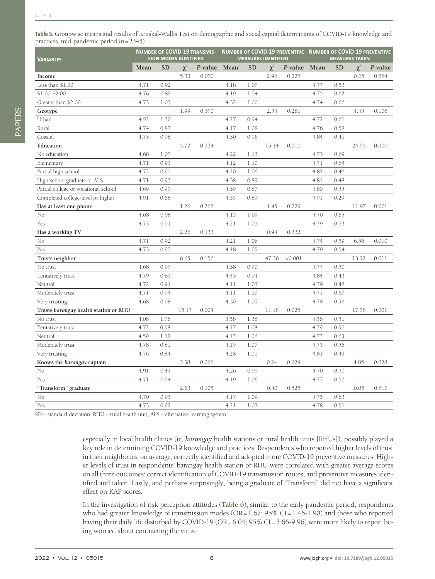<span id="page-7-0"></span>

| <b>VARIABLES</b>                      |      | <b>SION MODES IDENTIFIED</b> |          | <b>NUMBER OF COVID-19 TRANSMIS-</b> |      |           | <b>MEASURES IDENTIFIED</b> |         |      | NUMBER OF COVID-19 PREVENTIVE NUMBER OF COVID-19 PREVENTIVE<br><b>MEASURES TAKEN</b> |          |         |
|---------------------------------------|------|------------------------------|----------|-------------------------------------|------|-----------|----------------------------|---------|------|--------------------------------------------------------------------------------------|----------|---------|
|                                       | Mean | <b>SD</b>                    | $\chi^2$ | P-value                             | Mean | <b>SD</b> | $\chi^2$                   | P-value | Mean | <b>SD</b>                                                                            | $\chi^2$ | P-value |
| Income                                |      |                              | 5.33     | 0.070                               |      |           | 2.96                       | 0.228   |      |                                                                                      | 0.25     | 0.884   |
| Less than \$1.00                      | 4.71 | 0.92                         |          |                                     | 4.18 | 1.07      |                            |         | 4.77 | 0.53                                                                                 |          |         |
| \$1.00-\$2.00                         | 4.76 | 0.89                         |          |                                     | 4.19 | 1.04      |                            |         | 4.75 | 0.62                                                                                 |          |         |
| Greater than \$2.00                   | 4.73 | 1.03                         |          |                                     | 4.32 | 1.00      |                            |         | 4.74 | 0.66                                                                                 |          |         |
| Geotype                               |      |                              | 1.99     | 0.370                               |      |           | 2.54                       | 0.281   |      |                                                                                      | 4.45     | 0.108   |
| Urban                                 | 4.52 | 1.30                         |          |                                     | 4.27 | 0.94      |                            |         | 4.72 | 0.61                                                                                 |          |         |
| Rural                                 | 4.74 | 0.87                         |          |                                     | 4.17 | 1.08      |                            |         | 4.76 | 0.58                                                                                 |          |         |
| Coastal                               | 4.73 | 0.98                         |          |                                     | 4.30 | 0.96      |                            |         | 4.84 | 0.41                                                                                 |          |         |
| Education                             |      |                              | 5.72     | 0.334                               |      |           | 15.14                      | 0.010   |      |                                                                                      | 24.95    | 0.000   |
| No education                          | 4.68 | 1.07                         |          |                                     | 4.22 | 1.13      |                            |         | 4.73 | 0.69                                                                                 |          |         |
| Elementary                            | 4.71 | 0.93                         |          |                                     | 4.12 | 1.10      |                            |         | 4.71 | 0.65                                                                                 |          |         |
| Partial high school                   | 4.73 | 0.91                         |          |                                     | 4.20 | 1.06      |                            |         | 4.82 | 0.46                                                                                 |          |         |
| High school graduate or ALS           | 4.71 | 0.93                         |          |                                     | 4.38 | 0.89      |                            |         | 4.81 | 0.48                                                                                 |          |         |
| Partial college or vocational school  | 4.69 | 0.97                         |          |                                     | 4.39 | 0.87      |                            |         | 4.80 | 0.55                                                                                 |          |         |
| Completed college-level or higher     | 4.91 | 0.68                         |          |                                     | 4.35 | 0.89      |                            |         | 4.91 | 0.29                                                                                 |          |         |
| Has at least one phone                |      |                              | 1.26     | 0.262                               |      |           | 1.45                       | 0.229   |      |                                                                                      | 11.97    | 0.001   |
| No                                    | 4.68 | 0.98                         |          |                                     | 4.15 | 1.09      |                            |         | 4.70 | 0.65                                                                                 |          |         |
| Yes                                   | 4.73 | 0.91                         |          |                                     | 4.21 | 1.05      |                            |         | 4.79 | 0.53                                                                                 |          |         |
| Has a working TV                      |      |                              | 2.26     | 0.133                               |      |           | 0.94                       | 0.332   |      |                                                                                      |          |         |
| No                                    | 4.71 | 0.92                         |          |                                     | 4.21 | 1.06      |                            |         | 4.74 | 0.59                                                                                 | 6.56     | 0.010   |
| Yes                                   | 4.73 | 0.93                         |          |                                     | 4.18 | 1.05      |                            |         | 4.79 | 0.54                                                                                 |          |         |
| Trusts neighbor                       |      |                              | 6.65     | 0.156                               |      |           | 47.36                      | < 0.001 |      |                                                                                      | 13.12    | 0.011   |
| No trust                              | 4.68 | 0.97                         |          |                                     | 4.38 | 0.90      |                            |         | 4.77 | 0.50                                                                                 |          |         |
| Tentatively trust                     | 4.79 | 0.85                         |          |                                     | 4.43 | 0.94      |                            |         | 4.84 | 0.43                                                                                 |          |         |
| Neutral                               | 4.72 | 0.91                         |          |                                     | 4.11 | 1.03      |                            |         | 4.79 | 0.48                                                                                 |          |         |
| Moderately trust                      | 4.71 | 0.94                         |          |                                     | 4.11 | 1.10      |                            |         | 4.71 | 0.67                                                                                 |          |         |
| Very trusting                         | 4.68 | 0.98                         |          |                                     | 4.30 | 1.09      |                            |         | 4.78 | 0.56                                                                                 |          |         |
| Trusts barangay health station or RHU |      |                              | 15.17    | 0.004                               |      |           | 11.18                      | 0.025   |      |                                                                                      | 17.78    | 0.001   |
| No trust                              | 4.08 | 1.78                         |          |                                     | 3.58 | 1.38      |                            |         | 4.58 | 0.51                                                                                 |          |         |
| Tentatively trust                     | 4.72 | 0.98                         |          |                                     | 4.17 | 1.08      |                            |         | 4.79 | 0.56                                                                                 |          |         |
| Neutral                               | 4.59 | 1.12                         |          |                                     | 4.13 | 1.06      |                            |         | 4.73 | 0.63                                                                                 |          |         |
| Moderately trust                      | 4.78 | 0.81                         |          |                                     | 4.19 | 1.07      |                            |         | 4.75 | 0.56                                                                                 |          |         |
| Very trusting                         | 4.76 | 0.84                         |          |                                     | 4.28 | 1.01      |                            |         | 4.83 | 0.49                                                                                 |          |         |
| Knows the barangay captain            |      |                              | 3.38     | 0.066                               |      |           | 0.24                       | 0.624   |      |                                                                                      | 4.85     | 0.028   |
| No                                    | 4.91 | 0.41                         |          |                                     | 4.26 | 0.99      |                            |         | 4.70 | 0.50                                                                                 |          |         |
| Yes                                   | 4.71 | 0.94                         |          |                                     | 4.19 | 1.06      |                            |         | 4.77 | 0.57                                                                                 |          |         |
| "Transform" graduate                  |      |                              | 2.63     | 0.105                               |      |           | 0.40                       | 0.525   |      |                                                                                      | 0.05     | 0.817   |
| No                                    | 4.70 | 0.95                         |          |                                     | 4.17 | 1.09      |                            |         | 4.75 | 0.63                                                                                 |          |         |
| Yes                                   | 4.73 | 0.92                         |          |                                     | 4.21 | 1.03      |                            |         | 4.78 | 0.51                                                                                 |          |         |

SD – standard deviation, RHU – rural health unit, ALS – alternative learning system

especially in local health clinics (ie, *barangay* health stations or rural health units [RHUs]), possibly played a key role in determining COVID-19 knowledge and practices. Respondents who reported higher levels of trust in their neighbours, on average, correctly identified and adopted more COVID-19 preventive measures. Higher levels of trust in respondents' barangay health station or RHU were correlated with greater average scores on all three outcomes: correct identification of COVID-19 transmission routes, and preventive measures identified and taken. Lastly, and perhaps surprisingly, being a graduate of "Transform" did not have a significant effect on KAP scores.

In the investigation of risk perception attitudes (**[Table](#page-8-0) 6**), similar to the early pandemic period, respondents who had greater knowledge of transmission modes (OR=1.67; 95% CI=1.46-1.90) and those who reported having their daily life disturbed by COVID-19 (OR=6.04; 95% CI=3.66-9.96) were more likely to report being worried about contracting the virus.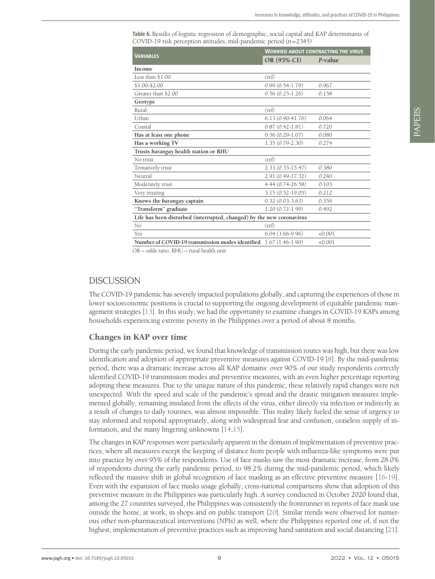<span id="page-8-0"></span>**Table 6.** Results of logistic regression of demographic, social capital and KAP determinants of COVID-19 risk perception attitudes, mid-pandemic period (n=2345)

|                                                                       | <b>WORRIED ABOUT CONTRACTING THE VIRUS</b> |         |  |  |  |  |
|-----------------------------------------------------------------------|--------------------------------------------|---------|--|--|--|--|
| <b>VARIABLES</b>                                                      | OR (95% CI)                                | P-value |  |  |  |  |
| <b>Income</b>                                                         |                                            |         |  |  |  |  |
| Less than \$1.00                                                      | (ref)                                      |         |  |  |  |  |
| \$1.00-\$2.00                                                         | $0.99(0.54-1.79)$                          | 0.967   |  |  |  |  |
| Greater than \$2.00                                                   | $0.56(0.25-1.26)$                          | 0.158   |  |  |  |  |
| Geotype                                                               |                                            |         |  |  |  |  |
| Rural                                                                 | (ref)                                      |         |  |  |  |  |
| Urban                                                                 | $6.13(0.90 - 41.76)$                       | 0.064   |  |  |  |  |
| Coastal                                                               | $0.87(0.42 - 1.81)$                        | 0.720   |  |  |  |  |
| Has at least one phone                                                | $0.56(0.29-1.07)$                          | 0.080   |  |  |  |  |
| Has a working TV                                                      | $1.35(0.79-2.30)$                          | 0.274   |  |  |  |  |
| Trusts barangay health station or RHU                                 |                                            |         |  |  |  |  |
| No trust                                                              | (ref)                                      |         |  |  |  |  |
| Tentatively trust                                                     | $2.33(0.35-15.47)$                         | 0.380   |  |  |  |  |
| Neutral                                                               | 2.91 (0.49-17.32)                          | 0.240   |  |  |  |  |
| Moderately trust                                                      | 4.44 (0.74-26.58)                          | 0.103   |  |  |  |  |
| Very trusting                                                         | 3.15 (0.52-19.05)                          | 0.212   |  |  |  |  |
| Knows the barangay captain                                            | $0.32(0.03-3.63)$                          | 0.359   |  |  |  |  |
| "Transform" graduate                                                  | $1.20(0.72 - 1.99)$                        | 0.492   |  |  |  |  |
| Life has been disturbed (interrupted, changed) by the new coronavirus |                                            |         |  |  |  |  |
| No                                                                    | (ref)                                      |         |  |  |  |  |
| Yes                                                                   | $6.04(3.66-9.96)$                          | < 0.001 |  |  |  |  |
| Number of COVID-19 transmission modes identified 1.67 (1.46-1.90)     |                                            | < 0.001 |  |  |  |  |

OR – odds ratio, RHU – rural health unit

## **DISCUSSION**

The COVID-19 pandemic has severely impacted populations globally, and capturing the experiences of those in lower socioeconomic positions is crucial to supporting the ongoing development of equitable pandemic management strategies [\[13\]](#page-11-12). In this study, we had the opportunity to examine changes in COVID-19 KAPs among households experiencing extreme poverty in the Philippines over a period of about 8 months.

#### Changes in KAP over time

During the early pandemic period, we found that knowledge of transmission routes was high, but there was low identification and adoption of appropriate preventive measures against COVID-19 [\[8](#page-11-7)]. By the mid-pandemic period, there was a dramatic increase across all KAP domains: over 90% of our study respondents correctly identified COVID-19 transmission modes and preventive measures, with an even higher percentage reporting adopting these measures. Due to the unique nature of this pandemic, these relatively rapid changes were not unexpected. With the speed and scale of the pandemic's spread and the drastic mitigation measures implemented globally, remaining insulated from the effects of the virus, either directly via infection or indirectly as a result of changes to daily routines, was almost impossible. This reality likely fueled the sense of urgency to stay informed and respond appropriately, along with widespread fear and confusion, ceaseless supply of information, and the many lingering unknowns [\[14](#page-11-13),[15](#page-11-14)].

The changes in KAP responses were particularly apparent in the domain of implementation of preventive practices, where all measures except the keeping of distance from people with influenza-like symptoms were put into practice by over 95% of the respondents. Use of face masks saw the most dramatic increase, from 28.0% of respondents during the early pandemic period, to 98.2% during the mid-pandemic period, which likely reflected the massive shift in global recognition of face masking as an effective preventive measure [[16](#page-11-15)[-19](#page-11-16)]. Even with the expansion of face masks usage globally, cross-national comparisons show that adoption of this preventive measure in the Philippines was particularly high. A survey conducted in October 2020 found that, among the 27 countries surveyed, the Philippines was consistently the frontrunner in reports of face mask use outside the home, at work, in shops and on public transport [\[20](#page-12-0)]. Similar trends were observed for numerous other non-pharmaceutical interventions (NPIs) as well, where the Philippines reported one of, if not the highest, implementation of preventive practices such as improving hand sanitation and social distancing [\[21](#page-12-1)].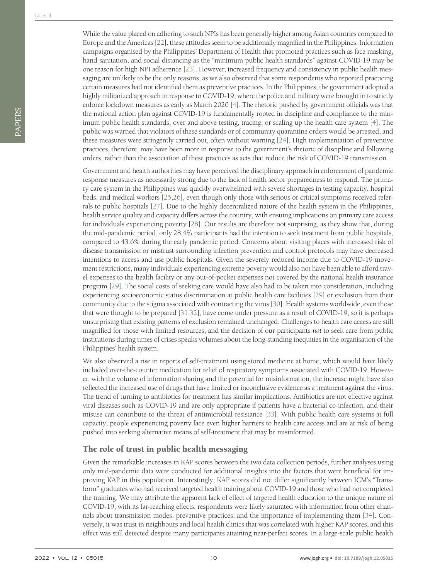While the value placed on adhering to such NPIs has been generally higher among Asian countries compared to Europe and the Americas [\[22](#page-12-2)], these attitudes seem to be additionally magnified in the Philippines. Information campaigns organised by the Philippines' Department of Health that promoted practices such as face masking, hand sanitation, and social distancing as the "minimum public health standards" against COVID-19 may be one reason for high NPI adherence [\[23](#page-12-3)]. However, increased frequency and consistency in public health messaging are unlikely to be the only reasons, as we also observed that some respondents who reported practicing certain measures had not identified them as preventive practices. In the Philippines, the government adopted a highly militarized approach in response to COVID-19, where the police and military were brought in to strictly enforce lockdown measures as early as March 2020 [[4\]](#page-11-2). The rhetoric pushed by government officials was that the national action plan against COVID-19 is fundamentally rooted in discipline and compliance to the minimum public health standards, over and above testing, tracing, or scaling up the health care system [[4\]](#page-11-2). The public was warned that violators of these standards or of community quarantine orders would be arrested, and these measures were stringently carried out, often without warning [\[24](#page-12-4)]. High implementation of preventive practices, therefore, may have been more in response to the government's rhetoric of discipline and following orders, rather than the association of these practices as acts that reduce the risk of COVID-19 transmission.

Government and health authorities may have perceived the disciplinary approach in enforcement of pandemic response measures as necessarily strong due to the lack of health sector preparedness to respond. The primary care system in the Philippines was quickly overwhelmed with severe shortages in testing capacity, hospital beds, and medical workers [\[25,](#page-12-5)[26](#page-12-6)], even though only those with serious or critical symptoms received referrals to public hospitals [\[27](#page-12-7)]. Due to the highly decentralized nature of the health system in the Philippines, health service quality and capacity differs across the country, with ensuing implications on primary care access for individuals experiencing poverty [\[28](#page-12-8)]. Our results are therefore not surprising, as they show that, during the mid-pandemic period, only 28.4% participants had the intention to seek treatment from public hospitals, compared to 43.6% during the early pandemic period. Concerns about visiting places with increased risk of disease transmission or mistrust surrounding infection prevention and control protocols may have decreased intentions to access and use public hospitals. Given the severely reduced income due to COVID-19 movement restrictions, many individuals experiencing extreme poverty would also not have been able to afford travel expenses to the health facility or any out-of-pocket expenses not covered by the national health insurance program [[29\]](#page-12-9). The social costs of seeking care would have also had to be taken into consideration, including experiencing socioeconomic status discrimination at public health care facilities [[29\]](#page-12-9) or exclusion from their community due to the stigma associated with contracting the virus [[30\]](#page-12-10). Health systems worldwide, even those that were thought to be prepared [\[31](#page-12-11),[32](#page-12-12)], have come under pressure as a result of COVID-19, so it is perhaps unsurprising that existing patterns of exclusion remained unchanged. Challenges to health care access are still magnified for those with limited resources, and the decision of our participants *not* to seek care from public institutions during times of crises speaks volumes about the long-standing inequities in the organisation of the Philippines' health system.

We also observed a rise in reports of self-treatment using stored medicine at home, which would have likely included over-the-counter medication for relief of respiratory symptoms associated with COVID-19. However, with the volume of information sharing and the potential for misinformation, the increase might have also reflected the increased use of drugs that have limited or inconclusive evidence as a treatment against the virus. The trend of turning to antibiotics for treatment has similar implications. Antibiotics are not effective against viral diseases such as COVID-19 and are only appropriate if patients have a bacterial co-infection, and their misuse can contribute to the threat of antimicrobial resistance [\[33](#page-12-13)]. With public health care systems at full capacity, people experiencing poverty face even higher barriers to health care access and are at risk of being pushed into seeking alternative means of self-treatment that may be misinformed.

## The role of trust in public health messaging

Given the remarkable increases in KAP scores between the two data collection periods, further analyses using only mid-pandemic data were conducted for additional insights into the factors that were beneficial for improving KAP in this population. Interestingly, KAP scores did not differ significantly between ICM's "Transform" graduates who had received targeted health training about COVID-19 and those who had not completed the training. We may attribute the apparent lack of effect of targeted health education to the unique nature of COVID-19; with its far-reaching effects, respondents were likely saturated with information from other channels about transmission modes, preventive practices, and the importance of implementing them [[34\]](#page-12-14). Conversely, it was trust in neighbours and local health clinics that was correlated with higher KAP scores, and this effect was still detected despite many participants attaining near-perfect scores. In a large-scale public health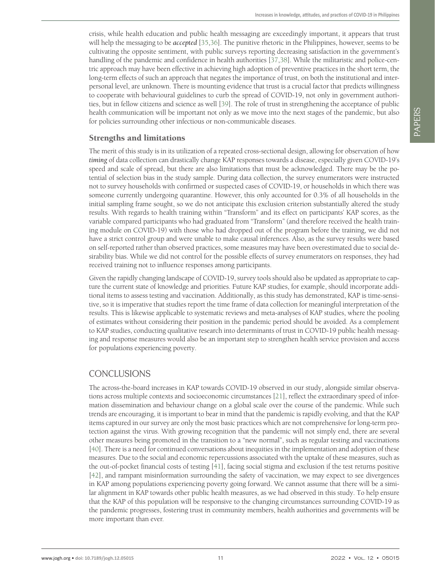crisis, while health education and public health messaging are exceedingly important, it appears that trust will help the messaging to be *accepted* [\[35](#page-12-15)[,36](#page-12-16)]. The punitive rhetoric in the Philippines, however, seems to be cultivating the opposite sentiment, with public surveys reporting decreasing satisfaction in the government's handling of the pandemic and confidence in health authorities [[37](#page-12-17)[,38\]](#page-12-18). While the militaristic and police-centric approach may have been effective in achieving high adoption of preventive practices in the short term, the long-term effects of such an approach that negates the importance of trust, on both the institutional and interpersonal level, are unknown. There is mounting evidence that trust is a crucial factor that predicts willingness to cooperate with behavioural guidelines to curb the spread of COVID-19, not only in government authorities, but in fellow citizens and science as well [[39\]](#page-12-19). The role of trust in strengthening the acceptance of public health communication will be important not only as we move into the next stages of the pandemic, but also for policies surrounding other infectious or non-communicable diseases.

## Strengths and limitations

The merit of this study is in its utilization of a repeated cross-sectional design, allowing for observation of how *timing* of data collection can drastically change KAP responses towards a disease, especially given COVID-19's speed and scale of spread, but there are also limitations that must be acknowledged. There may be the potential of selection bias in the study sample. During data collection, the survey enumerators were instructed not to survey households with confirmed or suspected cases of COVID-19, or households in which there was someone currently undergoing quarantine. However, this only accounted for 0.3% of all households in the initial sampling frame sought, so we do not anticipate this exclusion criterion substantially altered the study results. With regards to health training within "Transform" and its effect on participants' KAP scores, as the variable compared participants who had graduated from "Transform" (and therefore received the health training module on COVID-19) with those who had dropped out of the program before the training, we did not have a strict control group and were unable to make causal inferences. Also, as the survey results were based on self-reported rather than observed practices, some measures may have been overestimated due to social desirability bias. While we did not control for the possible effects of survey enumerators on responses, they had received training not to influence responses among participants.

Given the rapidly changing landscape of COVID-19, survey tools should also be updated as appropriate to capture the current state of knowledge and priorities. Future KAP studies, for example, should incorporate additional items to assess testing and vaccination. Additionally, as this study has demonstrated, KAP is time-sensitive, so it is imperative that studies report the time frame of data collection for meaningful interpretation of the results. This is likewise applicable to systematic reviews and meta-analyses of KAP studies, where the pooling of estimates without considering their position in the pandemic period should be avoided. As a complement to KAP studies, conducting qualitative research into determinants of trust in COVID-19 public health messaging and response measures would also be an important step to strengthen health service provision and access for populations experiencing poverty.

# CONCLUSIONS

The across-the-board increases in KAP towards COVID-19 observed in our study, alongside similar observations across multiple contexts and socioeconomic circumstances [\[21](#page-12-1)], reflect the extraordinary speed of information dissemination and behaviour change on a global scale over the course of the pandemic. While such trends are encouraging, it is important to bear in mind that the pandemic is rapidly evolving, and that the KAP items captured in our survey are only the most basic practices which are not comprehensive for long-term protection against the virus. With growing recognition that the pandemic will not simply end, there are several other measures being promoted in the transition to a "new normal", such as regular testing and vaccinations [\[40](#page-12-20)]. There is a need for continued conversations about inequities in the implementation and adoption of these measures. Due to the social and economic repercussions associated with the uptake of these measures, such as the out-of-pocket financial costs of testing [[41\]](#page-12-21), facing social stigma and exclusion if the test returns positive [\[42](#page-12-22)], and rampant misinformation surrounding the safety of vaccination, we may expect to see divergences in KAP among populations experiencing poverty going forward. We cannot assume that there will be a similar alignment in KAP towards other public health measures, as we had observed in this study. To help ensure that the KAP of this population will be responsive to the changing circumstances surrounding COVID-19 as the pandemic progresses, fostering trust in community members, health authorities and governments will be more important than ever.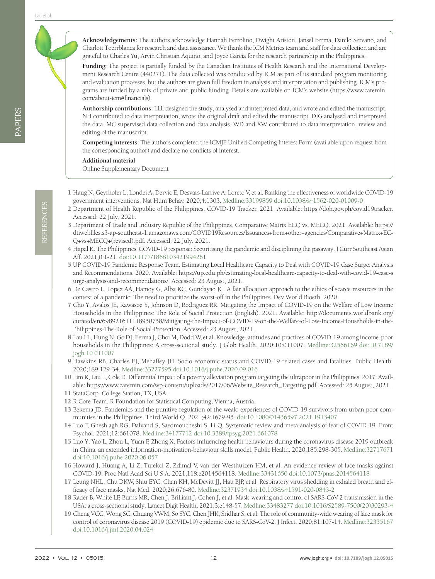REFERENCES REFERENCES

**Acknowledgements:** The authors acknowledge Hannah Ferrolino, Dwight Ariston, Jansel Ferma, Danilo Servano, and Charlott Toerrblanca for research and data assistance. We thank the ICM Metrics team and staff for data collection and are grateful to Charles Yu, Arvin Christian Aquino, and Joyce Garcia for the research partnership in the Philippines.

**Funding:** The project is partially funded by the Canadian Institutes of Health Research and the International Development Research Centre (440271). The data collected was conducted by ICM as part of its standard program monitoring and evaluation processes, but the authors are given full freedom in analysis and interpretation and publishing. ICM's programs are funded by a mix of private and public funding. Details are available on ICM's website [\(https://www.caremin.](https://www.caremin.com/about-icm#financials) [com/about-icm#financials](https://www.caremin.com/about-icm#financials)).

**Authorship contributions:** LLL designed the study, analysed and interpreted data, and wrote and edited the manuscript. NH contributed to data interpretation, wrote the original draft and edited the manuscript. DJG analysed and interpreted the data. MC supervised data collection and data analysis. WD and XW contributed to data interpretation, review and editing of the manuscript.

**Competing interests:** The authors completed the ICMJE Unified Competing Interest Form (available upon request from the corresponding author) and declare no conflicts of interest.

**Additional material**

<span id="page-11-9"></span>[Online Supplementary Document](https://jogh.org/documents/2022/jogh-12-05015-s001.pdf)

- <span id="page-11-0"></span>1 Haug N, Geyrhofer L, Londei A, Dervic E, Desvars-Larrive A, Loreto V, et al. Ranking the effectiveness of worldwide COVID-19 government interventions. Nat Hum Behav. 2020;4:1303. [Medline:33199859](https://www.ncbi.nlm.nih.gov/entrez/query.fcgi?cmd=Retrieve&db=PubMed&list_uids=33199859&dopt=Abstract) [doi:10.1038/s41562-020-01009-0](https://doi.org/10.1038/s41562-020-01009-0)
- <span id="page-11-3"></span>2 Department of Health Republic of the Philippines. COVID-19 Tracker. 2021. Available: https://doh.gov.ph/covid19tracker. Accessed: 22 July, 2021.
- <span id="page-11-1"></span>3 Department of Trade and Industry Republic of the Philippines. Comparative Matrix ECQ vs. MECQ. 2021. Available: https:// dtiwebfiles.s3-ap-southeast-1.amazonaws.com/COVID19Resources/Issuances+from+other+agencies/Comparative+Matrix+EC-Q+vs+MECQ+(revised).pdf. Accessed: 22 July, 2021.
- <span id="page-11-2"></span>4 Hapal K. The Philippines' COVID-19 response: Securitising the pandemic and disciplining the pasaway. J Curr Southeast Asian Aff. 2021;0:1-21. [doi:10.1177/1868103421994261](https://doi.org/10.1177/1868103421994261)
- <span id="page-11-4"></span>5 UP COVID-19 Pandemic Response Team. Estimating Local Healthcare Capacity to Deal with COVID-19 Case Surge: Analysis and Recommendations. 2020. Available: https://up.edu.ph/estimating-local-healthcare-capacity-to-deal-with-covid-19-case-s urge-analysis-and-recommendations/. Accessed: 23 August, 2021.
- <span id="page-11-5"></span>6 De Castro L, Lopez AA, Hamoy G, Alba KC, Gundayao JC. A fair allocation approach to the ethics of scarce resources in the context of a pandemic: The need to prioritize the worst-off in the Philippines. Dev World Bioeth. 2020.
- <span id="page-11-6"></span>7 Cho Y, Avalos JE, Kawasoe Y, Johnson D, Rodriguez RR. Mitigating the Impact of COVID-19 on the Welfare of Low Income Households in the Philippines: The Role of Social Protection (English). 2021. Available: http://documents.worldbank.org/ curated/en/698921611118950758/Mitigating-the-Impact-of-COVID-19-on-the-Welfare-of-Low-Income-Households-in-the-Philippines-The-Role-of-Social-Protection. Accessed: 23 August, 2021.
- <span id="page-11-7"></span>8 Lau LL, Hung N, Go DJ, Ferma J, Choi M, Dodd W, et al. Knowledge, attitudes and practices of COVID-19 among income-poor households in the Philippines: A cross-sectional study. J Glob Health. 2020;10:011007. [Medline:32566169](https://www.ncbi.nlm.nih.gov/entrez/query.fcgi?cmd=Retrieve&db=PubMed&list_uids=32566169&dopt=Abstract) [doi:10.7189/](https://doi.org/10.7189/jogh.10.011007) [jogh.10.011007](https://doi.org/10.7189/jogh.10.011007)
- 9 Hawkins RB, Charles EJ, Mehaffey JH. Socio-economic status and COVID-19-related cases and fatalities. Public Health. 2020;189:129-34. [Medline:33227595](https://www.ncbi.nlm.nih.gov/entrez/query.fcgi?cmd=Retrieve&db=PubMed&list_uids=33227595&dopt=Abstract) [doi:10.1016/j.puhe.2020.09.016](https://doi.org/10.1016/j.puhe.2020.09.016)
- <span id="page-11-8"></span>10 Lim K, Lau L, Cole D. Differential impact of a poverty alleviation program targeting the ultrapoor in the Philippines. 2017. Available: https://www.caremin.com/wp-content/uploads/2017/06/Website\_Research\_Targeting.pdf. Accessed: 25 August, 2021.
- <span id="page-11-10"></span>11 StataCorp. College Station, TX, USA.
- <span id="page-11-11"></span>12 R Core Team. R Foundation for Statistical Computing, Vienna, Austria.
- <span id="page-11-12"></span>13 Bekema JD. Pandemics and the punitive regulation of the weak: experiences of COVID-19 survivors from urban poor communities in the Philippines. Third World Q. 2021;42:1679-95. [doi:10.1080/01436597.2021.1913407](https://doi.org/10.1080/01436597.2021.1913407)
- <span id="page-11-13"></span>14 Luo F, Gheshlagh RG, Dalvand S, Saedmoucheshi S, Li Q. Systematic review and meta-analysis of fear of COVID-19. Front Psychol. 2021;12:661078. [Medline:34177712](https://www.ncbi.nlm.nih.gov/entrez/query.fcgi?cmd=Retrieve&db=PubMed&list_uids=34177712&dopt=Abstract) [doi:10.3389/fpsyg.2021.661078](https://doi.org/10.3389/fpsyg.2021.661078)
- <span id="page-11-14"></span>15 Luo Y, Yao L, Zhou L, Yuan F, Zhong X. Factors influencing health behaviours during the coronavirus disease 2019 outbreak in China: an extended information-motivation-behaviour skills model. Public Health. 2020;185:298-305. [Medline:32717671](https://www.ncbi.nlm.nih.gov/entrez/query.fcgi?cmd=Retrieve&db=PubMed&list_uids=32717671&dopt=Abstract) [doi:10.1016/j.puhe.2020.06.057](https://doi.org/10.1016/j.puhe.2020.06.057)
- <span id="page-11-15"></span>16 Howard J, Huang A, Li Z, Tufekci Z, Zdimal V, van der Westhuizen HM, et al. An evidence review of face masks against COVID-19. Proc Natl Acad Sci U S A. 2021;118:e2014564118. [Medline:33431650](https://www.ncbi.nlm.nih.gov/entrez/query.fcgi?cmd=Retrieve&db=PubMed&list_uids=33431650&dopt=Abstract) [doi:10.1073/pnas.2014564118](https://doi.org/10.1073/pnas.2014564118)
- 17 Leung NHL, Chu DKW, Shiu EYC, Chan KH, McDevitt JJ, Hau BJP, et al. Respiratory virus shedding in exhaled breath and efficacy of face masks. Nat Med. 2020;26:676-80. [Medline:32371934](https://www.ncbi.nlm.nih.gov/entrez/query.fcgi?cmd=Retrieve&db=PubMed&list_uids=32371934&dopt=Abstract) [doi:10.1038/s41591-020-0843-2](https://doi.org/10.1038/s41591-020-0843-2)
- 18 Rader B, White LF, Burns MR, Chen J, Brilliant J, Cohen J, et al. Mask-wearing and control of SARS-CoV-2 transmission in the USA: a cross-sectional study. Lancet Digit Health. 2021;3:e148-57. [Medline:33483277](https://www.ncbi.nlm.nih.gov/entrez/query.fcgi?cmd=Retrieve&db=PubMed&list_uids=33483277&dopt=Abstract) [doi:10.1016/S2589-7500\(20\)30293-4](https://doi.org/10.1016/S2589-7500(20)30293-4)
- <span id="page-11-16"></span>19 Cheng VCC, Wong SC, Chuang VWM, So SYC, Chen JHK, Sridhar S, et al. The role of community-wide wearing of face mask for control of coronavirus disease 2019 (COVID-19) epidemic due to SARS-CoV-2. J Infect. 2020;81:107-14. [Medline:32335167](https://www.ncbi.nlm.nih.gov/entrez/query.fcgi?cmd=Retrieve&db=PubMed&list_uids=32335167&dopt=Abstract) [doi:10.1016/j.jinf.2020.04.024](https://doi.org/10.1016/j.jinf.2020.04.024)

PAPERS

Lau et al.